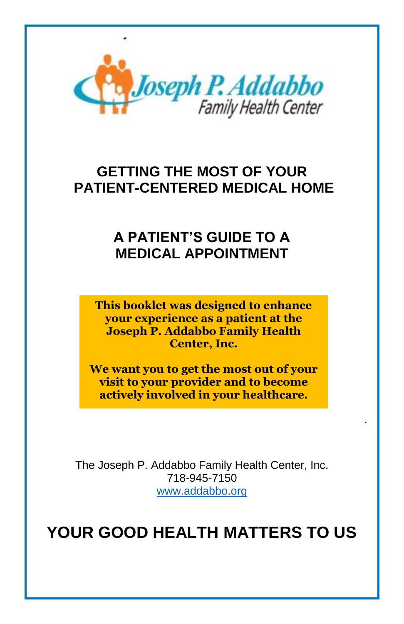

# **GETTING THE MOST OF YOUR PATIENT-CENTERED MEDICAL HOME**

# **A PATIENT'S GUIDE TO A MEDICAL APPOINTMENT**

**This booklet was designed to enhance your experience as a patient at the Joseph P. Addabbo Family Health Center, Inc.** 

**We want you to get the most out of your visit to your provider and to become actively involved in your healthcare.** 

.

The Joseph P. Addabbo Family Health Center, Inc. 718-945-7150 [www.addabbo.org](http://www.addabbo.org/)

**YOUR GOOD HEALTH MATTERS TO US**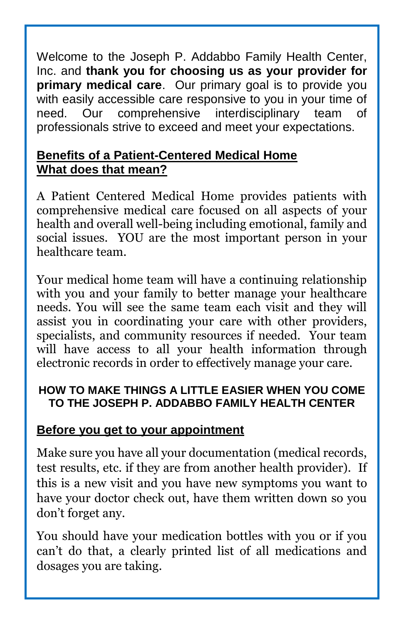Welcome to the Joseph P. Addabbo Family Health Center, Inc. and **thank you for choosing us as your provider for primary medical care**. Our primary goal is to provide you with easily accessible care responsive to you in your time of need. Our comprehensive interdisciplinary team of professionals strive to exceed and meet your expectations.

#### **Benefits of a Patient-Centered Medical Home What does that mean?**

A Patient Centered Medical Home provides patients with comprehensive medical care focused on all aspects of your health and overall well-being including emotional, family and social issues. YOU are the most important person in your healthcare team.

Your medical home team will have a continuing relationship with you and your family to better manage your healthcare needs. You will see the same team each visit and they will assist you in coordinating your care with other providers, specialists, and community resources if needed. Your team will have access to all your health information through electronic records in order to effectively manage your care.

#### **HOW TO MAKE THINGS A LITTLE EASIER WHEN YOU COME TO THE JOSEPH P. ADDABBO FAMILY HEALTH CENTER**

### **Before you get to your appointment**

Make sure you have all your documentation (medical records, test results, etc. if they are from another health provider). If this is a new visit and you have new symptoms you want to have your doctor check out, have them written down so you don't forget any.

You should have your medication bottles with you or if you can't do that, a clearly printed list of all medications and dosages you are taking.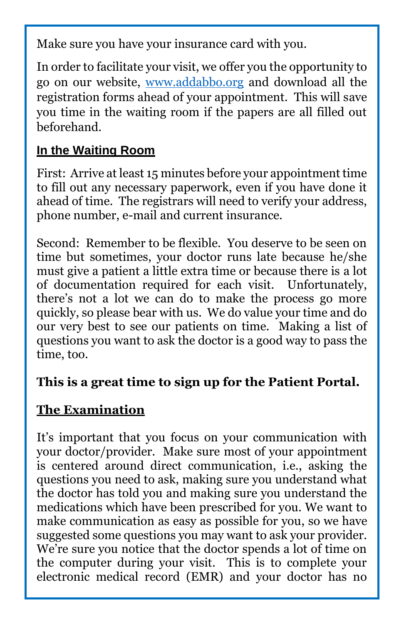Make sure you have your insurance card with you.

In order to facilitate your visit, we offer you the opportunity to go on our website, [www.addabbo.org](http://www.addabbo.org/) and download all the registration forms ahead of your appointment. This will save you time in the waiting room if the papers are all filled out beforehand.

### **In the Waiting Room**

First: Arrive at least 15 minutes before your appointment time to fill out any necessary paperwork, even if you have done it ahead of time. The registrars will need to verify your address, phone number, e-mail and current insurance.

Second: Remember to be flexible. You deserve to be seen on time but sometimes, your doctor runs late because he/she must give a patient a little extra time or because there is a lot of documentation required for each visit. Unfortunately, there's not a lot we can do to make the process go more quickly, so please bear with us. We do value your time and do our very best to see our patients on time. Making a list of questions you want to ask the doctor is a good way to pass the time, too.

### **This is a great time to sign up for the Patient Portal.**

### **The Examination**

It's important that you focus on your communication with your doctor/provider. Make sure most of your appointment is centered around direct communication, i.e., asking the questions you need to ask, making sure you understand what the doctor has told you and making sure you understand the medications which have been prescribed for you. We want to make communication as easy as possible for you, so we have suggested some questions you may want to ask your provider. We're sure you notice that the doctor spends a lot of time on the computer during your visit. This is to complete your electronic medical record (EMR) and your doctor has no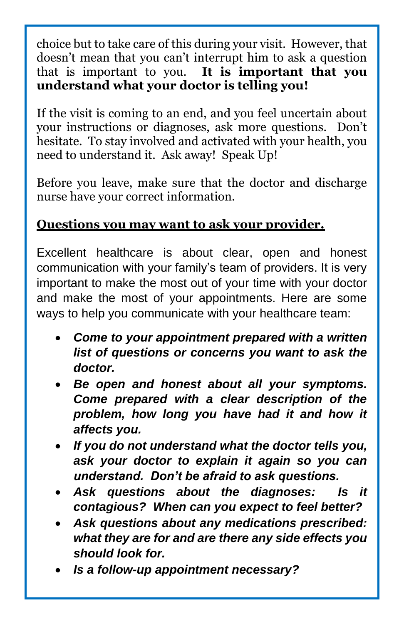choice but to take care of this during your visit. However, that doesn't mean that you can't interrupt him to ask a question that is important to you. **It is important that you understand what your doctor is telling you!**

If the visit is coming to an end, and you feel uncertain about your instructions or diagnoses, ask more questions. Don't hesitate. To stay involved and activated with your health, you need to understand it. Ask away! Speak Up!

Before you leave, make sure that the doctor and discharge nurse have your correct information.

### **Questions you may want to ask your provider.**

Excellent healthcare is about clear, open and honest communication with your family's team of providers. It is very important to make the most out of your time with your doctor and make the most of your appointments. Here are some ways to help you communicate with your healthcare team:

- *Come to your appointment prepared with a written list of questions or concerns you want to ask the doctor.*
- *Be open and honest about all your symptoms. Come prepared with a clear description of the problem, how long you have had it and how it affects you.*
- *If you do not understand what the doctor tells you, ask your doctor to explain it again so you can understand. Don't be afraid to ask questions.*
- *Ask questions about the diagnoses: Is it contagious? When can you expect to feel better?*
- *Ask questions about any medications prescribed: what they are for and are there any side effects you should look for.*
- *Is a follow-up appointment necessary?*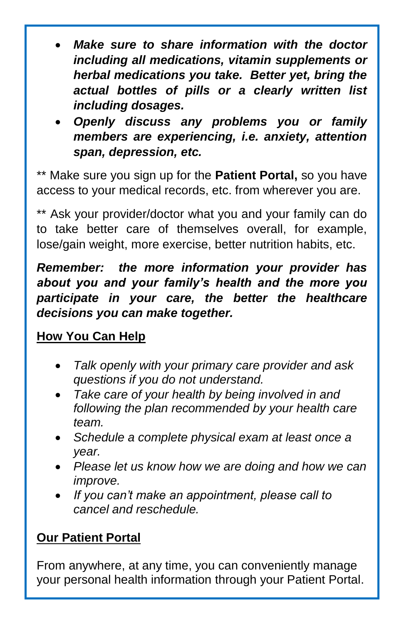- *Make sure to share information with the doctor including all medications, vitamin supplements or herbal medications you take. Better yet, bring the actual bottles of pills or a clearly written list including dosages.*
- *Openly discuss any problems you or family members are experiencing, i.e. anxiety, attention span, depression, etc.*

\*\* Make sure you sign up for the **Patient Portal,** so you have access to your medical records, etc. from wherever you are.

\*\* Ask your provider/doctor what you and your family can do to take better care of themselves overall, for example, lose/gain weight, more exercise, better nutrition habits, etc.

*Remember: the more information your provider has about you and your family's health and the more you participate in your care, the better the healthcare decisions you can make together.*

## **How You Can Help**

- *Talk openly with your primary care provider and ask questions if you do not understand.*
- *Take care of your health by being involved in and following the plan recommended by your health care team.*
- *Schedule a complete physical exam at least once a year.*
- *Please let us know how we are doing and how we can improve.*
- *If you can't make an appointment, please call to cancel and reschedule.*

## **Our Patient Portal**

From anywhere, at any time, you can conveniently manage your personal health information through your Patient Portal.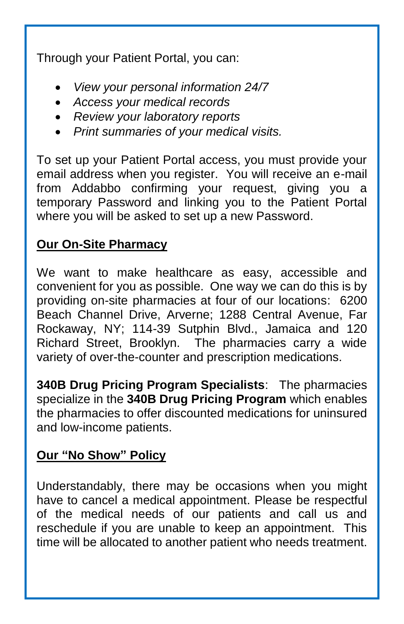Through your Patient Portal, you can:

- *View your personal information 24/7*
- *Access your medical records*
- *Review your laboratory reports*
- *Print summaries of your medical visits.*

To set up your Patient Portal access, you must provide your email address when you register. You will receive an e-mail from Addabbo confirming your request, giving you a temporary Password and linking you to the Patient Portal where you will be asked to set up a new Password.

### **Our On-Site Pharmacy**

We want to make healthcare as easy, accessible and convenient for you as possible. One way we can do this is by providing on-site pharmacies at four of our locations: 6200 Beach Channel Drive, Arverne; 1288 Central Avenue, Far Rockaway, NY; 114-39 Sutphin Blvd., Jamaica and 120 Richard Street, Brooklyn. The pharmacies carry a wide variety of over-the-counter and prescription medications.

**340B Drug Pricing Program Specialists**: The pharmacies specialize in the **340B Drug Pricing Program** which enables the pharmacies to offer discounted medications for uninsured and low-income patients.

#### **Our "No Show" Policy**

Understandably, there may be occasions when you might have to cancel a medical appointment. Please be respectful of the medical needs of our patients and call us and reschedule if you are unable to keep an appointment. This time will be allocated to another patient who needs treatment.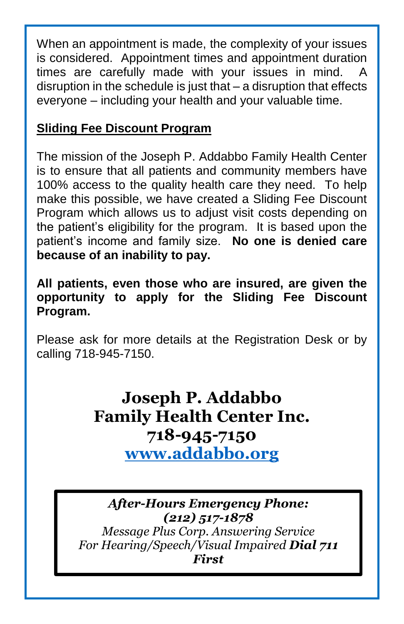When an appointment is made, the complexity of your issues is considered. Appointment times and appointment duration times are carefully made with your issues in mind. A disruption in the schedule is just that – a disruption that effects everyone – including your health and your valuable time.

### **Sliding Fee Discount Program**

The mission of the Joseph P. Addabbo Family Health Center is to ensure that all patients and community members have 100% access to the quality health care they need. To help make this possible, we have created a Sliding Fee Discount Program which allows us to adjust visit costs depending on the patient's eligibility for the program. It is based upon the patient's income and family size. **No one is denied care because of an inability to pay.**

**All patients, even those who are insured, are given the opportunity to apply for the Sliding Fee Discount Program.** 

Please ask for more details at the Registration Desk or by calling 718-945-7150.

# **Joseph P. Addabbo Family Health Center Inc. 718-945-7150 [www.addabbo.org](http://www.addabbo.org/)**

*After-Hours Emergency Phone: (212) 517-1878 Message Plus Corp. Answering Service For Hearing/Speech/Visual Impaired Dial 711 First*